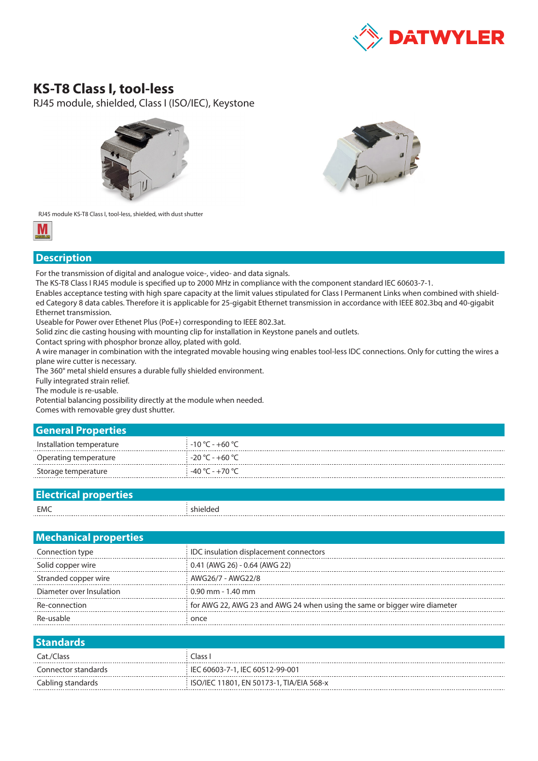

## **KS-T8 Class I, tool-less**

RJ45 module, shielded, Class I (ISO/IEC), Keystone





RJ45 module KS-T8 Class I, tool-less, shielded, with dust shutter



## **Description**

For the transmission of digital and analogue voice-, video- and data signals.

The KS-T8 Class I RJ45 module is specified up to 2000 MHz in compliance with the component standard IEC 60603-7-1.

Enables acceptance testing with high spare capacity at the limit values stipulated for Class I Permanent Links when combined with shielded Category 8 data cables. Therefore it is applicable for 25-gigabit Ethernet transmission in accordance with IEEE 802.3bq and 40-gigabit Ethernet transmission.

Useable for Power over Ethenet Plus (PoE+) corresponding to IEEE 802.3at.

Solid zinc die casting housing with mounting clip for installation in Keystone panels and outlets.

Contact spring with phosphor bronze alloy, plated with gold.

A wire manager in combination with the integrated movable housing wing enables tool-less IDC connections. Only for cutting the wires a plane wire cutter is necessary.

The 360° metal shield ensures a durable fully shielded environment.

Fully integrated strain relief.

The module is re-usable.

Potential balancing possibility directly at the module when needed.

Comes with removable grey dust shutter.

| <b>General Properties</b> |                                      |
|---------------------------|--------------------------------------|
| Installation temperature  | $-10\degree$ C - +60 $\degree$ C $-$ |
| Operating temperature     | ∃ -20 °C - +60 °C -                  |
| Storage temperature       | -40 °C - +70 °C                      |
|                           |                                      |

| _________________________________ |  |
|-----------------------------------|--|
| EMC<br>.                          |  |

| <b>Mechanical properties</b> |                                                                           |
|------------------------------|---------------------------------------------------------------------------|
| Connection type              | IDC insulation displacement connectors                                    |
| Solid copper wire            | 0.41 (AWG 26) - 0.64 (AWG 22)                                             |
| Stranded copper wire         | AWG26/7 - AWG22/8                                                         |
| Diameter over Insulation     | $0.90$ mm - 1.40 mm                                                       |
| Re-connection                | for AWG 22, AWG 23 and AWG 24 when using the same or bigger wire diameter |
| Re-usable                    | once                                                                      |
|                              |                                                                           |

| <b>Standards</b>    |                                          |
|---------------------|------------------------------------------|
| Cat./Class          | Class I                                  |
| Connector standards | IEC 60603-7-1, IEC 60512-99-001          |
| Cabling standards   | ISO/IEC 11801, EN 50173-1, TIA/EIA 568-x |